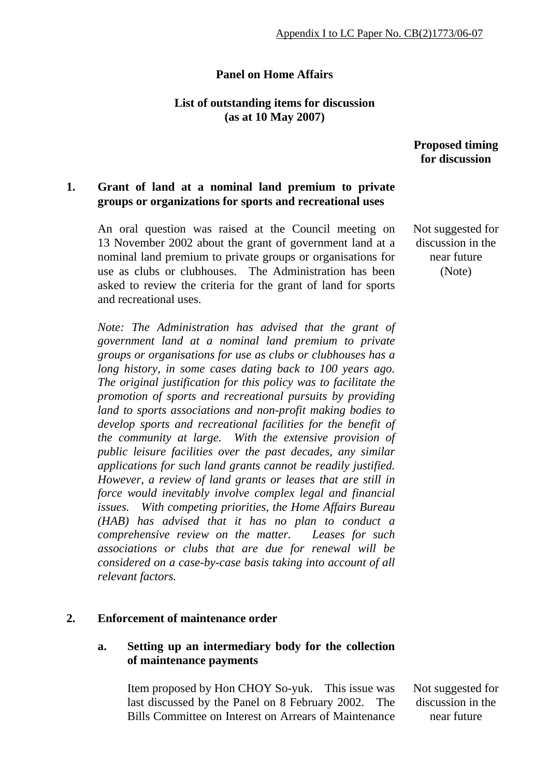### **Panel on Home Affairs**

### **List of outstanding items for discussion (as at 10 May 2007)**

### **Proposed timing for discussion**

### **1. Grant of land at a nominal land premium to private groups or organizations for sports and recreational uses**

An oral question was raised at the Council meeting on 13 November 2002 about the grant of government land at a nominal land premium to private groups or organisations for use as clubs or clubhouses. The Administration has been asked to review the criteria for the grant of land for sports and recreational uses.

*Note: The Administration has advised that the grant of government land at a nominal land premium to private groups or organisations for use as clubs or clubhouses has a long history, in some cases dating back to 100 years ago. The original justification for this policy was to facilitate the promotion of sports and recreational pursuits by providing land to sports associations and non-profit making bodies to develop sports and recreational facilities for the benefit of the community at large. With the extensive provision of public leisure facilities over the past decades, any similar applications for such land grants cannot be readily justified. However, a review of land grants or leases that are still in force would inevitably involve complex legal and financial issues. With competing priorities, the Home Affairs Bureau (HAB) has advised that it has no plan to conduct a comprehensive review on the matter. Leases for such associations or clubs that are due for renewal will be considered on a case-by-case basis taking into account of all relevant factors.* 

### **2. Enforcement of maintenance order**

### **a. Setting up an intermediary body for the collection of maintenance payments**

 Item proposed by Hon CHOY So-yuk. This issue was last discussed by the Panel on 8 February 2002. The Bills Committee on Interest on Arrears of Maintenance Not suggested for discussion in the near future

 Not suggested for discussion in the near future (Note)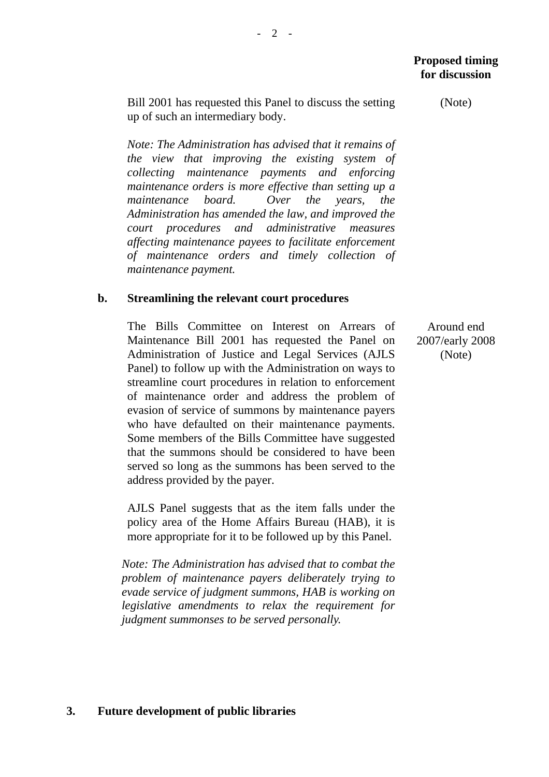Bill 2001 has requested this Panel to discuss the setting up of such an intermediary body.

*Note: The Administration has advised that it remains of the view that improving the existing system of collecting maintenance payments and enforcing maintenance orders is more effective than setting up a maintenance board. Over the years, the Administration has amended the law, and improved the court procedures and administrative measures affecting maintenance payees to facilitate enforcement of maintenance orders and timely collection of maintenance payment.* 

### **b. Streamlining the relevant court procedures**

 The Bills Committee on Interest on Arrears of Maintenance Bill 2001 has requested the Panel on Administration of Justice and Legal Services (AJLS Panel) to follow up with the Administration on ways to streamline court procedures in relation to enforcement of maintenance order and address the problem of evasion of service of summons by maintenance payers who have defaulted on their maintenance payments. Some members of the Bills Committee have suggested that the summons should be considered to have been served so long as the summons has been served to the address provided by the payer.

 AJLS Panel suggests that as the item falls under the policy area of the Home Affairs Bureau (HAB), it is more appropriate for it to be followed up by this Panel.

*Note: The Administration has advised that to combat the problem of maintenance payers deliberately trying to evade service of judgment summons, HAB is working on legislative amendments to relax the requirement for judgment summonses to be served personally.* 

Around end 2007/early 2008 (Note)

(Note)

## **3. Future development of public libraries**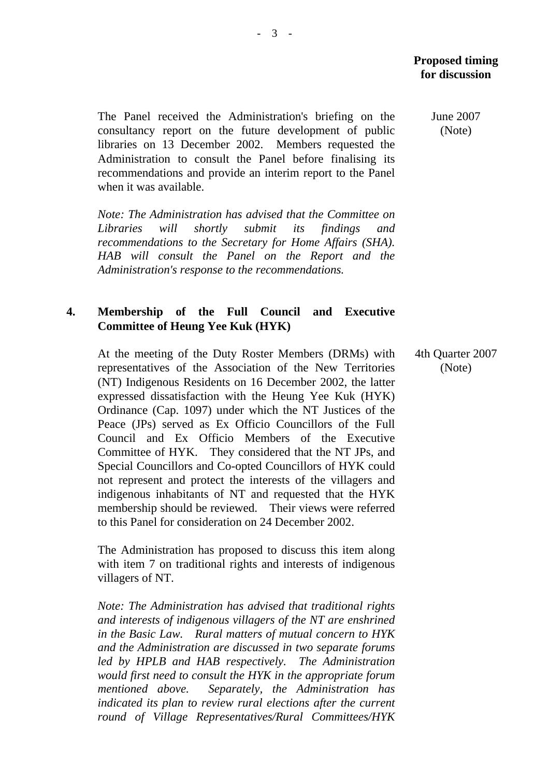The Panel received the Administration's briefing on the consultancy report on the future development of public libraries on 13 December 2002. Members requested the Administration to consult the Panel before finalising its recommendations and provide an interim report to the Panel when it was available.

*Note: The Administration has advised that the Committee on Libraries will shortly submit its findings and recommendations to the Secretary for Home Affairs (SHA). HAB will consult the Panel on the Report and the Administration's response to the recommendations.* 

### **4. Membership of the Full Council and Executive Committee of Heung Yee Kuk (HYK)**

At the meeting of the Duty Roster Members (DRMs) with representatives of the Association of the New Territories (NT) Indigenous Residents on 16 December 2002, the latter expressed dissatisfaction with the Heung Yee Kuk (HYK) Ordinance (Cap. 1097) under which the NT Justices of the Peace (JPs) served as Ex Officio Councillors of the Full Council and Ex Officio Members of the Executive Committee of HYK. They considered that the NT JPs, and Special Councillors and Co-opted Councillors of HYK could not represent and protect the interests of the villagers and indigenous inhabitants of NT and requested that the HYK membership should be reviewed. Their views were referred to this Panel for consideration on 24 December 2002.

The Administration has proposed to discuss this item along with item 7 on traditional rights and interests of indigenous villagers of NT.

*Note: The Administration has advised that traditional rights and interests of indigenous villagers of the NT are enshrined in the Basic Law. Rural matters of mutual concern to HYK and the Administration are discussed in two separate forums led by HPLB and HAB respectively. The Administration would first need to consult the HYK in the appropriate forum mentioned above. Separately, the Administration has indicated its plan to review rural elections after the current round of Village Representatives/Rural Committees/HYK*   June 2007 (Note)

 4th Quarter 2007 (Note)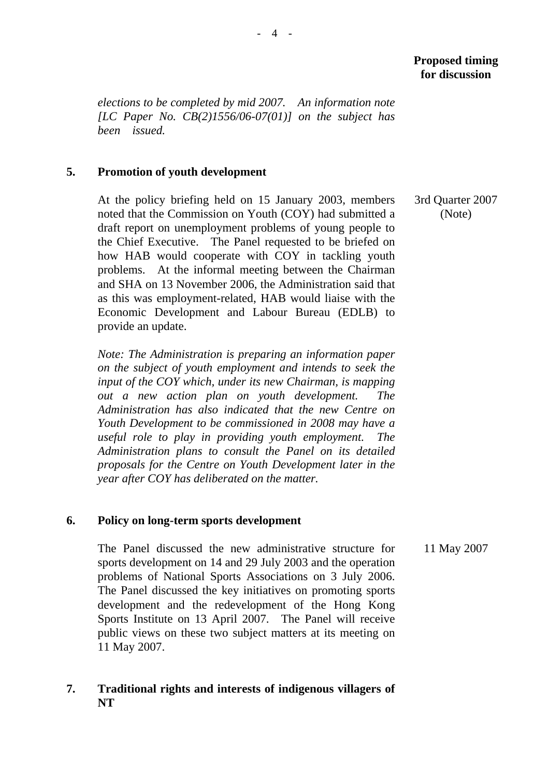*elections to be completed by mid 2007. An information note [LC Paper No. CB(2)1556/06-07(01)] on the subject has been issued.* 

### **5. Promotion of youth development**

At the policy briefing held on 15 January 2003, members noted that the Commission on Youth (COY) had submitted a draft report on unemployment problems of young people to the Chief Executive. The Panel requested to be briefed on how HAB would cooperate with COY in tackling youth problems. At the informal meeting between the Chairman and SHA on 13 November 2006, the Administration said that as this was employment-related, HAB would liaise with the Economic Development and Labour Bureau (EDLB) to provide an update.

*Note: The Administration is preparing an information paper on the subject of youth employment and intends to seek the input of the COY which, under its new Chairman, is mapping out a new action plan on youth development. The Administration has also indicated that the new Centre on Youth Development to be commissioned in 2008 may have a useful role to play in providing youth employment. The Administration plans to consult the Panel on its detailed proposals for the Centre on Youth Development later in the year after COY has deliberated on the matter.* 

### **6. Policy on long-term sports development**

The Panel discussed the new administrative structure for sports development on 14 and 29 July 2003 and the operation problems of National Sports Associations on 3 July 2006. The Panel discussed the key initiatives on promoting sports development and the redevelopment of the Hong Kong Sports Institute on 13 April 2007. The Panel will receive public views on these two subject matters at its meeting on 11 May 2007. 11 May 2007

## **7. Traditional rights and interests of indigenous villagers of NT**

 3rd Quarter 2007 (Note)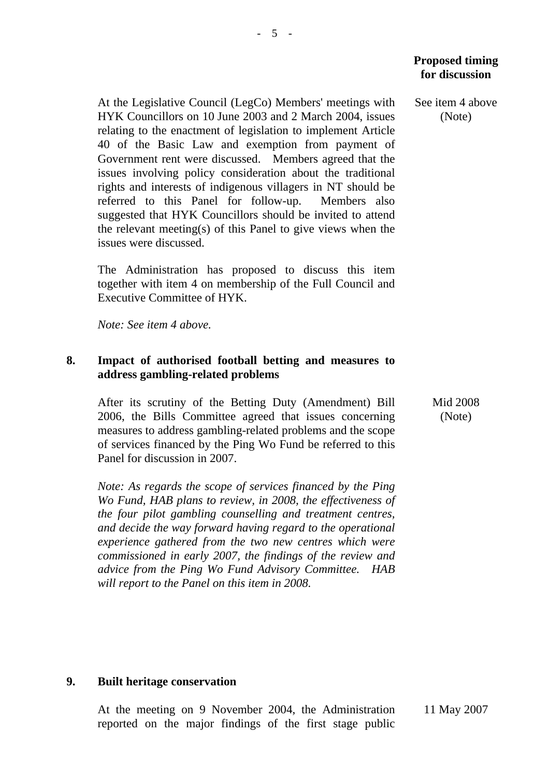At the Legislative Council (LegCo) Members' meetings with HYK Councillors on 10 June 2003 and 2 March 2004, issues relating to the enactment of legislation to implement Article 40 of the Basic Law and exemption from payment of Government rent were discussed. Members agreed that the issues involving policy consideration about the traditional rights and interests of indigenous villagers in NT should be referred to this Panel for follow-up. Members also suggested that HYK Councillors should be invited to attend the relevant meeting(s) of this Panel to give views when the issues were discussed.

The Administration has proposed to discuss this item together with item 4 on membership of the Full Council and Executive Committee of HYK.

*Note: See item 4 above.*

### **8. Impact of authorised football betting and measures to address gambling-related problems**

After its scrutiny of the Betting Duty (Amendment) Bill 2006, the Bills Committee agreed that issues concerning measures to address gambling-related problems and the scope of services financed by the Ping Wo Fund be referred to this Panel for discussion in 2007.

*Note: As regards the scope of services financed by the Ping Wo Fund, HAB plans to review, in 2008, the effectiveness of the four pilot gambling counselling and treatment centres, and decide the way forward having regard to the operational experience gathered from the two new centres which were commissioned in early 2007, the findings of the review and advice from the Ping Wo Fund Advisory Committee. HAB will report to the Panel on this item in 2008.* 

## **Proposed timing for discussion**

 See item 4 above (Note)

> Mid 2008 (Note)

### **9. Built heritage conservation**

At the meeting on 9 November 2004, the Administration reported on the major findings of the first stage public 11 May 2007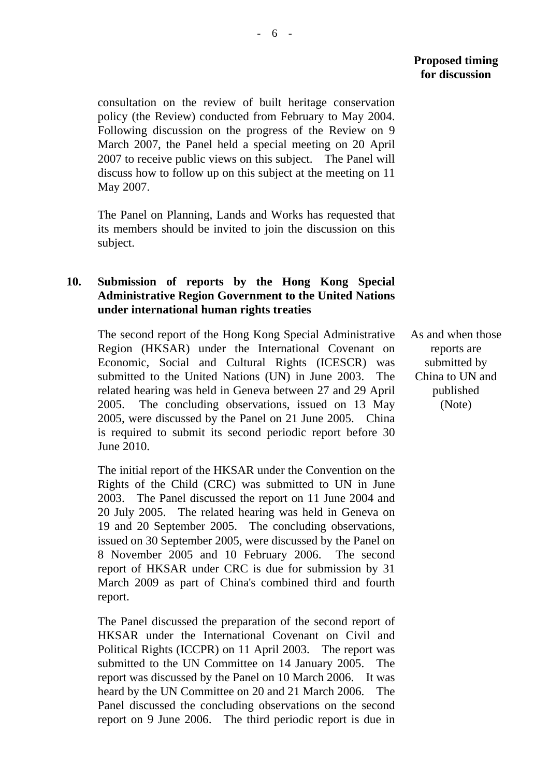consultation on the review of built heritage conservation policy (the Review) conducted from February to May 2004. Following discussion on the progress of the Review on 9 March 2007, the Panel held a special meeting on 20 April 2007 to receive public views on this subject. The Panel will discuss how to follow up on this subject at the meeting on 11 May 2007.

The Panel on Planning, Lands and Works has requested that its members should be invited to join the discussion on this subject.

### **10. Submission of reports by the Hong Kong Special Administrative Region Government to the United Nations under international human rights treaties**

The second report of the Hong Kong Special Administrative Region (HKSAR) under the International Covenant on Economic, Social and Cultural Rights (ICESCR) was submitted to the United Nations (UN) in June 2003. The related hearing was held in Geneva between 27 and 29 April 2005. The concluding observations, issued on 13 May 2005, were discussed by the Panel on 21 June 2005. China is required to submit its second periodic report before 30 June 2010.

The initial report of the HKSAR under the Convention on the Rights of the Child (CRC) was submitted to UN in June 2003. The Panel discussed the report on 11 June 2004 and 20 July 2005. The related hearing was held in Geneva on 19 and 20 September 2005. The concluding observations, issued on 30 September 2005, were discussed by the Panel on 8 November 2005 and 10 February 2006. The second report of HKSAR under CRC is due for submission by 31 March 2009 as part of China's combined third and fourth report.

The Panel discussed the preparation of the second report of HKSAR under the International Covenant on Civil and Political Rights (ICCPR) on 11 April 2003. The report was submitted to the UN Committee on 14 January 2005. The report was discussed by the Panel on 10 March 2006. It was heard by the UN Committee on 20 and 21 March 2006. The Panel discussed the concluding observations on the second report on 9 June 2006. The third periodic report is due in As and when those reports are submitted by China to UN and published (Note)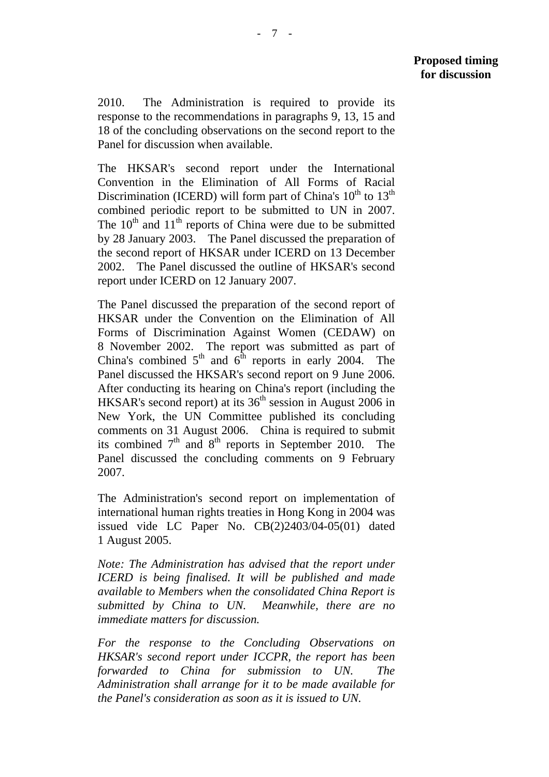2010. The Administration is required to provide its response to the recommendations in paragraphs 9, 13, 15 and 18 of the concluding observations on the second report to the Panel for discussion when available.

The HKSAR's second report under the International Convention in the Elimination of All Forms of Racial Discrimination (ICERD) will form part of China's  $10^{th}$  to  $13^{th}$ combined periodic report to be submitted to UN in 2007. The  $10<sup>th</sup>$  and  $11<sup>th</sup>$  reports of China were due to be submitted by 28 January 2003. The Panel discussed the preparation of the second report of HKSAR under ICERD on 13 December 2002. The Panel discussed the outline of HKSAR's second report under ICERD on 12 January 2007.

The Panel discussed the preparation of the second report of HKSAR under the Convention on the Elimination of All Forms of Discrimination Against Women (CEDAW) on 8 November 2002. The report was submitted as part of China's combined  $5<sup>th</sup>$  and  $6<sup>th</sup>$  reports in early 2004. The Panel discussed the HKSAR's second report on 9 June 2006. After conducting its hearing on China's report (including the HKSAR's second report) at its  $36<sup>th</sup>$  session in August 2006 in New York, the UN Committee published its concluding comments on 31 August 2006. China is required to submit its combined  $7<sup>th</sup>$  and  $8<sup>th</sup>$  reports in September 2010. The Panel discussed the concluding comments on 9 February 2007.

The Administration's second report on implementation of international human rights treaties in Hong Kong in 2004 was issued vide LC Paper No. CB(2)2403/04-05(01) dated 1 August 2005.

*Note: The Administration has advised that the report under ICERD is being finalised. It will be published and made available to Members when the consolidated China Report is submitted by China to UN. Meanwhile, there are no immediate matters for discussion.* 

*For the response to the Concluding Observations on HKSAR's second report under ICCPR, the report has been forwarded to China for submission to UN. The Administration shall arrange for it to be made available for the Panel's consideration as soon as it is issued to UN.*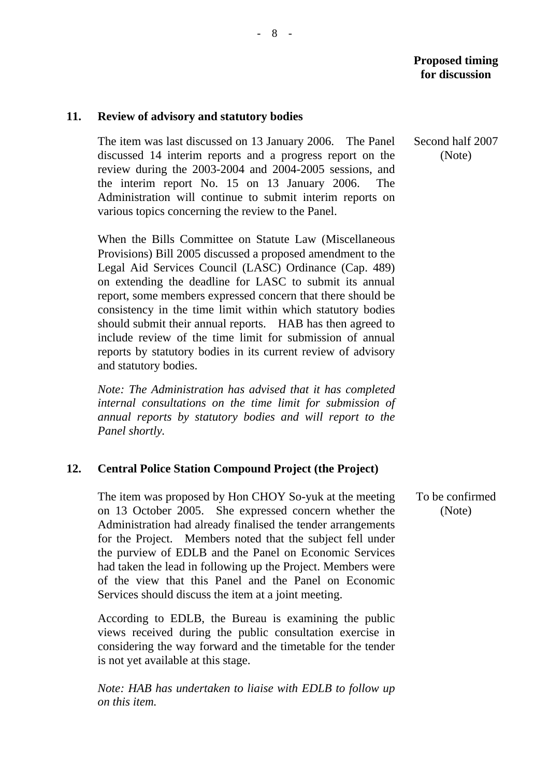### **11. Review of advisory and statutory bodies**

The item was last discussed on 13 January 2006. The Panel discussed 14 interim reports and a progress report on the review during the 2003-2004 and 2004-2005 sessions, and the interim report No. 15 on 13 January 2006. The Administration will continue to submit interim reports on various topics concerning the review to the Panel.

When the Bills Committee on Statute Law (Miscellaneous Provisions) Bill 2005 discussed a proposed amendment to the Legal Aid Services Council (LASC) Ordinance (Cap. 489) on extending the deadline for LASC to submit its annual report, some members expressed concern that there should be consistency in the time limit within which statutory bodies should submit their annual reports. HAB has then agreed to include review of the time limit for submission of annual reports by statutory bodies in its current review of advisory and statutory bodies.

*Note: The Administration has advised that it has completed internal consultations on the time limit for submission of annual reports by statutory bodies and will report to the Panel shortly.* 

### **12. Central Police Station Compound Project (the Project)**

The item was proposed by Hon CHOY So-yuk at the meeting on 13 October 2005. She expressed concern whether the Administration had already finalised the tender arrangements for the Project. Members noted that the subject fell under the purview of EDLB and the Panel on Economic Services had taken the lead in following up the Project. Members were of the view that this Panel and the Panel on Economic Services should discuss the item at a joint meeting.

According to EDLB, the Bureau is examining the public views received during the public consultation exercise in considering the way forward and the timetable for the tender is not yet available at this stage.

*Note: HAB has undertaken to liaise with EDLB to follow up on this item.*

Second half 2007 (Note)

To be confirmed (Note)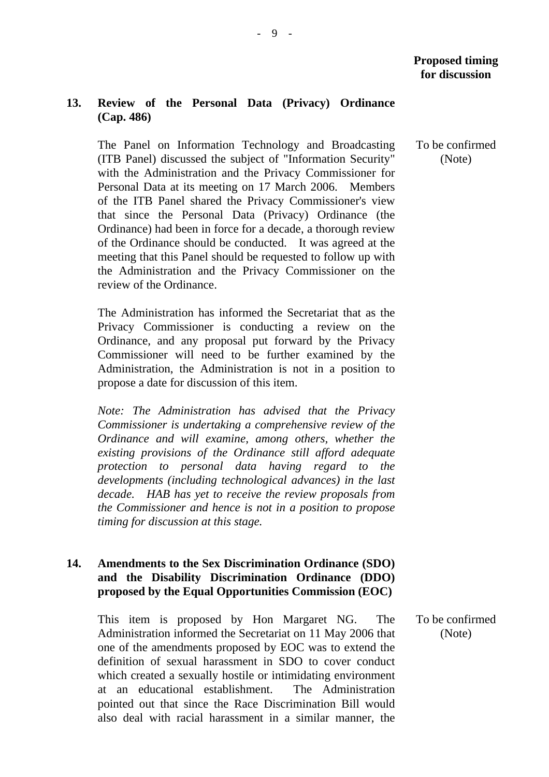### **13. Review of the Personal Data (Privacy) Ordinance (Cap. 486)**

The Panel on Information Technology and Broadcasting (ITB Panel) discussed the subject of "Information Security" with the Administration and the Privacy Commissioner for Personal Data at its meeting on 17 March 2006. Members of the ITB Panel shared the Privacy Commissioner's view that since the Personal Data (Privacy) Ordinance (the Ordinance) had been in force for a decade, a thorough review of the Ordinance should be conducted. It was agreed at the meeting that this Panel should be requested to follow up with the Administration and the Privacy Commissioner on the review of the Ordinance.

The Administration has informed the Secretariat that as the Privacy Commissioner is conducting a review on the Ordinance, and any proposal put forward by the Privacy Commissioner will need to be further examined by the Administration, the Administration is not in a position to propose a date for discussion of this item.

*Note: The Administration has advised that the Privacy Commissioner is undertaking a comprehensive review of the Ordinance and will examine, among others, whether the existing provisions of the Ordinance still afford adequate protection to personal data having regard to the developments (including technological advances) in the last decade. HAB has yet to receive the review proposals from the Commissioner and hence is not in a position to propose timing for discussion at this stage.* 

### **14. Amendments to the Sex Discrimination Ordinance (SDO) and the Disability Discrimination Ordinance (DDO) proposed by the Equal Opportunities Commission (EOC)**

This item is proposed by Hon Margaret NG. The Administration informed the Secretariat on 11 May 2006 that one of the amendments proposed by EOC was to extend the definition of sexual harassment in SDO to cover conduct which created a sexually hostile or intimidating environment at an educational establishment. The Administration pointed out that since the Race Discrimination Bill would also deal with racial harassment in a similar manner, the

To be confirmed (Note)

To be confirmed (Note)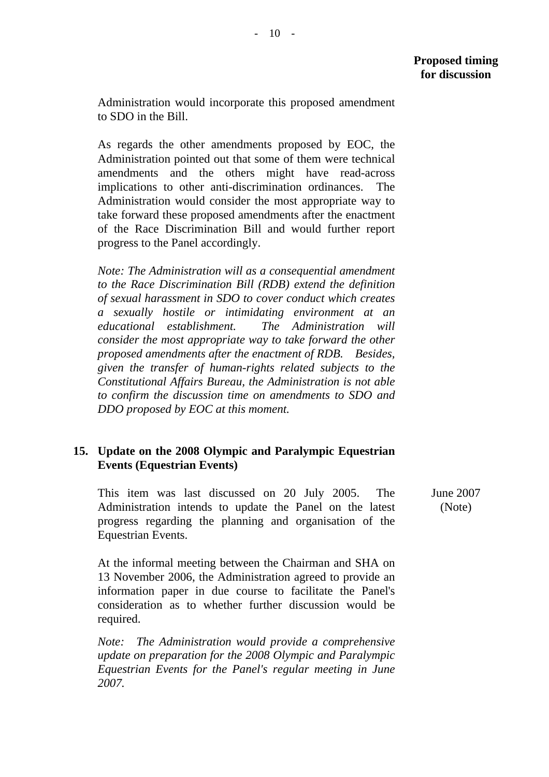Administration would incorporate this proposed amendment to SDO in the Bill.

As regards the other amendments proposed by EOC, the Administration pointed out that some of them were technical amendments and the others might have read-across implications to other anti-discrimination ordinances. The Administration would consider the most appropriate way to take forward these proposed amendments after the enactment of the Race Discrimination Bill and would further report progress to the Panel accordingly.

*Note: The Administration will as a consequential amendment to the Race Discrimination Bill (RDB) extend the definition of sexual harassment in SDO to cover conduct which creates a sexually hostile or intimidating environment at an educational establishment. The Administration will consider the most appropriate way to take forward the other proposed amendments after the enactment of RDB. Besides, given the transfer of human-rights related subjects to the Constitutional Affairs Bureau, the Administration is not able to confirm the discussion time on amendments to SDO and DDO proposed by EOC at this moment.* 

## **15. Update on the 2008 Olympic and Paralympic Equestrian Events (Equestrian Events)**

This item was last discussed on 20 July 2005. The Administration intends to update the Panel on the latest progress regarding the planning and organisation of the Equestrian Events.

June 2007 (Note)

At the informal meeting between the Chairman and SHA on 13 November 2006, the Administration agreed to provide an information paper in due course to facilitate the Panel's consideration as to whether further discussion would be required.

*Note: The Administration would provide a comprehensive update on preparation for the 2008 Olympic and Paralympic Equestrian Events for the Panel's regular meeting in June 2007.*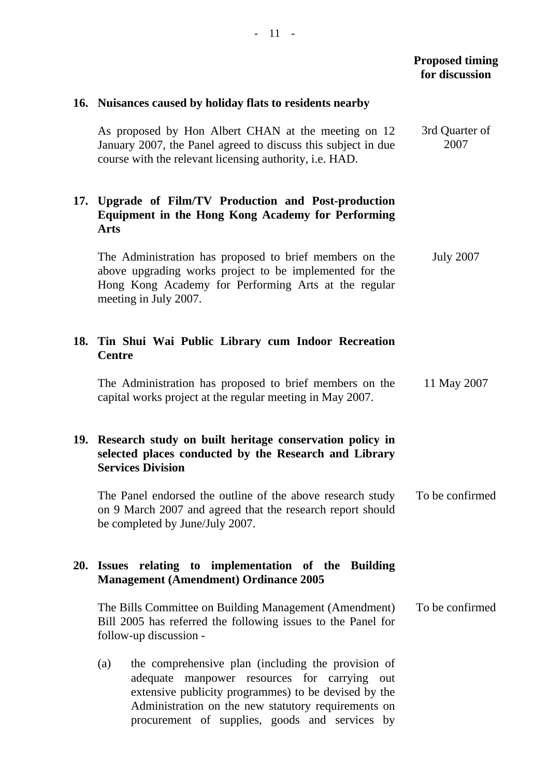# **Proposed timing for discussion 16. Nuisances caused by holiday flats to residents nearby**  As proposed by Hon Albert CHAN at the meeting on 12 January 2007, the Panel agreed to discuss this subject in due course with the relevant licensing authority, i.e. HAD. 3rd Quarter of 2007 **17. Upgrade of Film/TV Production and Post-production Equipment in the Hong Kong Academy for Performing Arts**  The Administration has proposed to brief members on the above upgrading works project to be implemented for the Hong Kong Academy for Performing Arts at the regular meeting in July 2007. July 2007 **18. Tin Shui Wai Public Library cum Indoor Recreation Centre**  The Administration has proposed to brief members on the capital works project at the regular meeting in May 2007. 11 May 2007 **19. Research study on built heritage conservation policy in selected places conducted by the Research and Library Services Division**  The Panel endorsed the outline of the above research study on 9 March 2007 and agreed that the research report should be completed by June/July 2007. To be confirmed **20. Issues relating to implementation of the Building Management (Amendment) Ordinance 2005**  The Bills Committee on Building Management (Amendment) Bill 2005 has referred the following issues to the Panel for follow-up discussion - (a) the comprehensive plan (including the provision of adequate manpower resources for carrying out extensive publicity programmes) to be devised by the Administration on the new statutory requirements on procurement of supplies, goods and services by To be confirmed